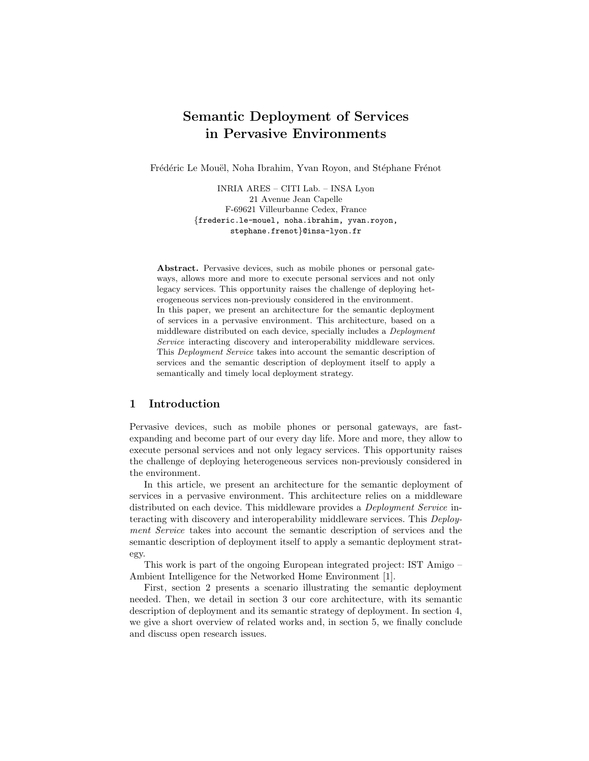# Semantic Deployment of Services in Pervasive Environments

Frédéric Le Mouël, Noha Ibrahim, Yvan Royon, and Stéphane Frénot

INRIA ARES – CITI Lab. – INSA Lyon 21 Avenue Jean Capelle F-69621 Villeurbanne Cedex, France {frederic.le-mouel, noha.ibrahim, yvan.royon, stephane.frenot}@insa-lyon.fr

Abstract. Pervasive devices, such as mobile phones or personal gateways, allows more and more to execute personal services and not only legacy services. This opportunity raises the challenge of deploying heterogeneous services non-previously considered in the environment. In this paper, we present an architecture for the semantic deployment of services in a pervasive environment. This architecture, based on a middleware distributed on each device, specially includes a Deployment Service interacting discovery and interoperability middleware services. This Deployment Service takes into account the semantic description of services and the semantic description of deployment itself to apply a semantically and timely local deployment strategy.

# 1 Introduction

Pervasive devices, such as mobile phones or personal gateways, are fastexpanding and become part of our every day life. More and more, they allow to execute personal services and not only legacy services. This opportunity raises the challenge of deploying heterogeneous services non-previously considered in the environment.

In this article, we present an architecture for the semantic deployment of services in a pervasive environment. This architecture relies on a middleware distributed on each device. This middleware provides a Deployment Service interacting with discovery and interoperability middleware services. This Deployment Service takes into account the semantic description of services and the semantic description of deployment itself to apply a semantic deployment strategy.

This work is part of the ongoing European integrated project: IST Amigo – Ambient Intelligence for the Networked Home Environment [1].

First, section 2 presents a scenario illustrating the semantic deployment needed. Then, we detail in section 3 our core architecture, with its semantic description of deployment and its semantic strategy of deployment. In section 4, we give a short overview of related works and, in section 5, we finally conclude and discuss open research issues.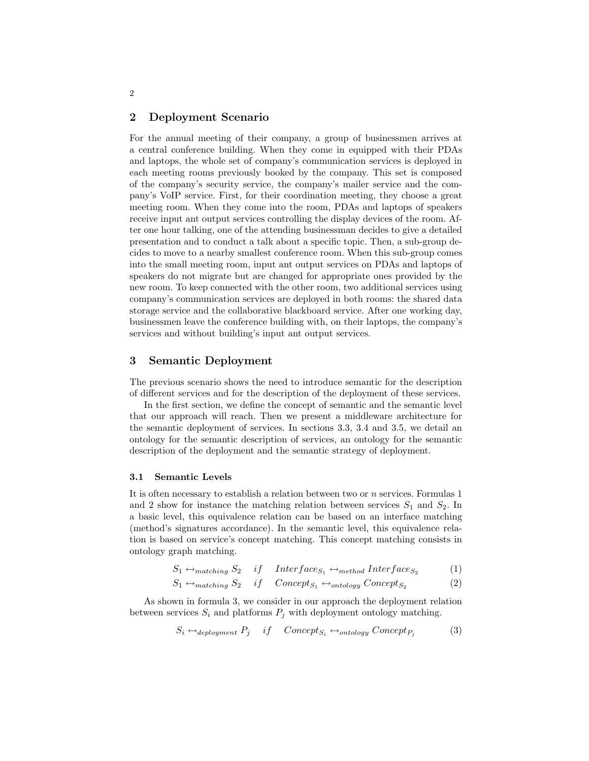### 2 Deployment Scenario

For the annual meeting of their company, a group of businessmen arrives at a central conference building. When they come in equipped with their PDAs and laptops, the whole set of company's communication services is deployed in each meeting rooms previously booked by the company. This set is composed of the company's security service, the company's mailer service and the company's VoIP service. First, for their coordination meeting, they choose a great meeting room. When they come into the room, PDAs and laptops of speakers receive input ant output services controlling the display devices of the room. After one hour talking, one of the attending businessman decides to give a detailed presentation and to conduct a talk about a specific topic. Then, a sub-group decides to move to a nearby smallest conference room. When this sub-group comes into the small meeting room, input ant output services on PDAs and laptops of speakers do not migrate but are changed for appropriate ones provided by the new room. To keep connected with the other room, two additional services using company's communication services are deployed in both rooms: the shared data storage service and the collaborative blackboard service. After one working day, businessmen leave the conference building with, on their laptops, the company's services and without building's input ant output services.

## 3 Semantic Deployment

The previous scenario shows the need to introduce semantic for the description of different services and for the description of the deployment of these services.

In the first section, we define the concept of semantic and the semantic level that our approach will reach. Then we present a middleware architecture for the semantic deployment of services. In sections 3.3, 3.4 and 3.5, we detail an ontology for the semantic description of services, an ontology for the semantic description of the deployment and the semantic strategy of deployment.

#### 3.1 Semantic Levels

It is often necessary to establish a relation between two or n services. Formulas 1 and 2 show for instance the matching relation between services  $S_1$  and  $S_2$ . In a basic level, this equivalence relation can be based on an interface matching (method's signatures accordance). In the semantic level, this equivalence relation is based on service's concept matching. This concept matching consists in ontology graph matching.

$$
S_1 \leftrightarrow_{matching} S_2 \quad if \quad Interface_{S_1} \leftrightarrow_{method} Interface_{S_2} \tag{1}
$$

$$
S_1 \leftrightarrow_{matching} S_2 \quad if \quad Concept_{S_1} \leftrightarrow_{ ontology} Concept_{S_2} \tag{2}
$$

As shown in formula 3, we consider in our approach the deployment relation between services  $S_i$  and platforms  $P_j$  with deployment ontology matching.

$$
S_i \leftrightarrow_{deployment} P_j \quad if \quad Concept_{S_i} \leftrightarrow_{ontology} Concept_{P_j} \tag{3}
$$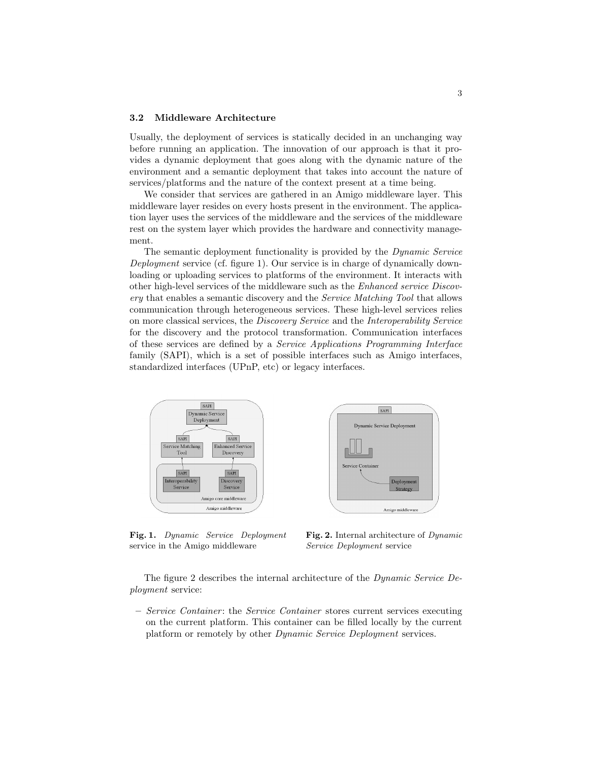#### 3.2 Middleware Architecture

Usually, the deployment of services is statically decided in an unchanging way before running an application. The innovation of our approach is that it provides a dynamic deployment that goes along with the dynamic nature of the environment and a semantic deployment that takes into account the nature of services/platforms and the nature of the context present at a time being.

We consider that services are gathered in an Amigo middleware layer. This middleware layer resides on every hosts present in the environment. The application layer uses the services of the middleware and the services of the middleware rest on the system layer which provides the hardware and connectivity management.

The semantic deployment functionality is provided by the Dynamic Service Deployment service (cf. figure 1). Our service is in charge of dynamically downloading or uploading services to platforms of the environment. It interacts with other high-level services of the middleware such as the Enhanced service Discovery that enables a semantic discovery and the Service Matching Tool that allows communication through heterogeneous services. These high-level services relies on more classical services, the Discovery Service and the Interoperability Service for the discovery and the protocol transformation. Communication interfaces of these services are defined by a Service Applications Programming Interface family (SAPI), which is a set of possible interfaces such as Amigo interfaces, standardized interfaces (UPnP, etc) or legacy interfaces.



Fig. 1. Dynamic Service Deployment service in the Amigo middleware



Fig. 2. Internal architecture of Dynamic Service Deployment service

The figure 2 describes the internal architecture of the Dynamic Service Deployment service:

– Service Container : the Service Container stores current services executing on the current platform. This container can be filled locally by the current platform or remotely by other Dynamic Service Deployment services.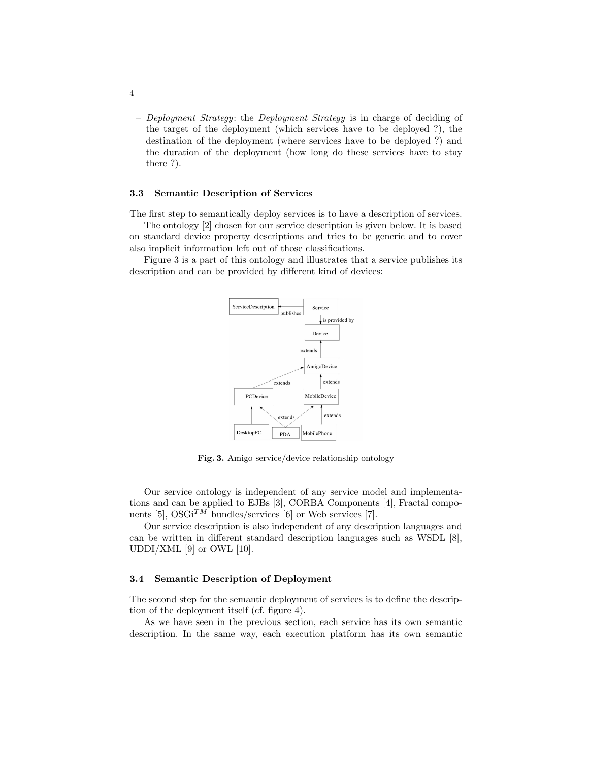– Deployment Strategy: the Deployment Strategy is in charge of deciding of the target of the deployment (which services have to be deployed ?), the destination of the deployment (where services have to be deployed ?) and the duration of the deployment (how long do these services have to stay there ?).

#### 3.3 Semantic Description of Services

The first step to semantically deploy services is to have a description of services.

The ontology [2] chosen for our service description is given below. It is based on standard device property descriptions and tries to be generic and to cover also implicit information left out of those classifications.

Figure 3 is a part of this ontology and illustrates that a service publishes its description and can be provided by different kind of devices:



Fig. 3. Amigo service/device relationship ontology

Our service ontology is independent of any service model and implementations and can be applied to EJBs [3], CORBA Components [4], Fractal components [5],  $OSGi^{TM}$  bundles/services [6] or Web services [7].

Our service description is also independent of any description languages and can be written in different standard description languages such as WSDL [8], UDDI/XML  $[9]$  or OWL  $[10]$ .

#### 3.4 Semantic Description of Deployment

The second step for the semantic deployment of services is to define the description of the deployment itself (cf. figure 4).

As we have seen in the previous section, each service has its own semantic description. In the same way, each execution platform has its own semantic

4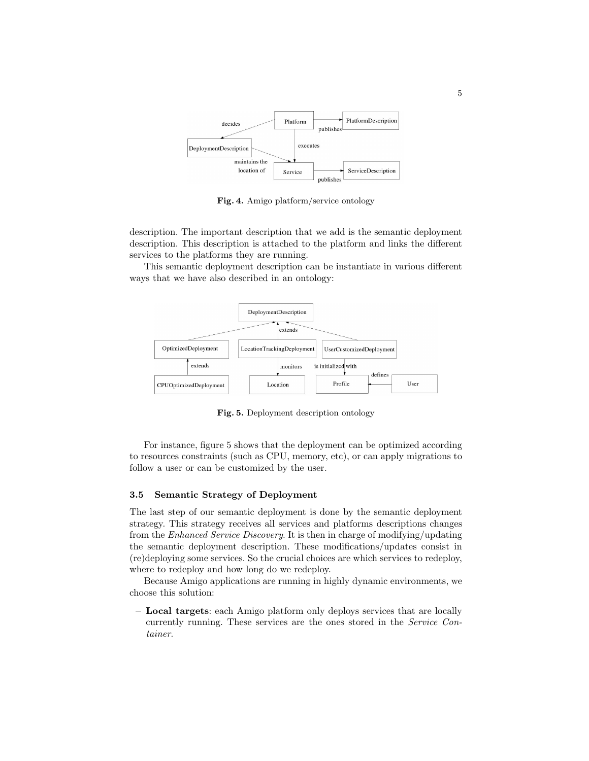

Fig. 4. Amigo platform/service ontology

description. The important description that we add is the semantic deployment description. This description is attached to the platform and links the different services to the platforms they are running.

This semantic deployment description can be instantiate in various different ways that we have also described in an ontology:



Fig. 5. Deployment description ontology

For instance, figure 5 shows that the deployment can be optimized according to resources constraints (such as CPU, memory, etc), or can apply migrations to follow a user or can be customized by the user.

#### 3.5 Semantic Strategy of Deployment

The last step of our semantic deployment is done by the semantic deployment strategy. This strategy receives all services and platforms descriptions changes from the Enhanced Service Discovery. It is then in charge of modifying/updating the semantic deployment description. These modifications/updates consist in (re)deploying some services. So the crucial choices are which services to redeploy, where to redeploy and how long do we redeploy.

Because Amigo applications are running in highly dynamic environments, we choose this solution:

– Local targets: each Amigo platform only deploys services that are locally currently running. These services are the ones stored in the Service Container.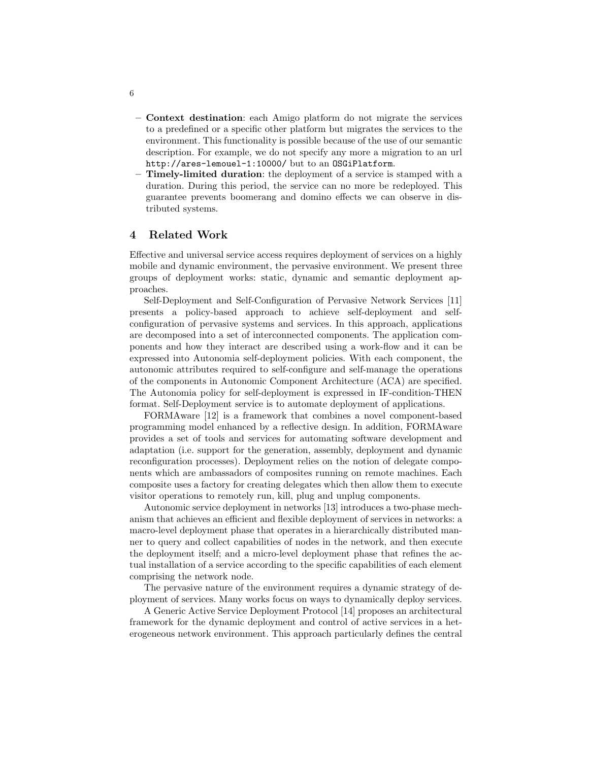- Context destination: each Amigo platform do not migrate the services to a predefined or a specific other platform but migrates the services to the environment. This functionality is possible because of the use of our semantic description. For example, we do not specify any more a migration to an url http://ares-lemouel-1:10000/ but to an OSGiPlatform.
- Timely-limited duration: the deployment of a service is stamped with a duration. During this period, the service can no more be redeployed. This guarantee prevents boomerang and domino effects we can observe in distributed systems.

# 4 Related Work

Effective and universal service access requires deployment of services on a highly mobile and dynamic environment, the pervasive environment. We present three groups of deployment works: static, dynamic and semantic deployment approaches.

Self-Deployment and Self-Configuration of Pervasive Network Services [11] presents a policy-based approach to achieve self-deployment and selfconfiguration of pervasive systems and services. In this approach, applications are decomposed into a set of interconnected components. The application components and how they interact are described using a work-flow and it can be expressed into Autonomia self-deployment policies. With each component, the autonomic attributes required to self-configure and self-manage the operations of the components in Autonomic Component Architecture (ACA) are specified. The Autonomia policy for self-deployment is expressed in IF-condition-THEN format. Self-Deployment service is to automate deployment of applications.

FORMAware [12] is a framework that combines a novel component-based programming model enhanced by a reflective design. In addition, FORMAware provides a set of tools and services for automating software development and adaptation (i.e. support for the generation, assembly, deployment and dynamic reconfiguration processes). Deployment relies on the notion of delegate components which are ambassadors of composites running on remote machines. Each composite uses a factory for creating delegates which then allow them to execute visitor operations to remotely run, kill, plug and unplug components.

Autonomic service deployment in networks [13] introduces a two-phase mechanism that achieves an efficient and flexible deployment of services in networks: a macro-level deployment phase that operates in a hierarchically distributed manner to query and collect capabilities of nodes in the network, and then execute the deployment itself; and a micro-level deployment phase that refines the actual installation of a service according to the specific capabilities of each element comprising the network node.

The pervasive nature of the environment requires a dynamic strategy of deployment of services. Many works focus on ways to dynamically deploy services.

A Generic Active Service Deployment Protocol [14] proposes an architectural framework for the dynamic deployment and control of active services in a heterogeneous network environment. This approach particularly defines the central

6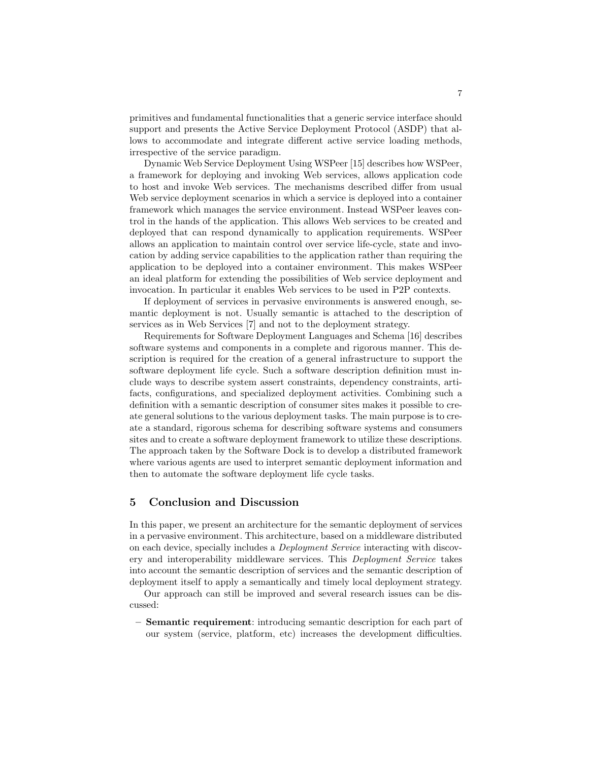primitives and fundamental functionalities that a generic service interface should support and presents the Active Service Deployment Protocol (ASDP) that allows to accommodate and integrate different active service loading methods, irrespective of the service paradigm.

Dynamic Web Service Deployment Using WSPeer [15] describes how WSPeer, a framework for deploying and invoking Web services, allows application code to host and invoke Web services. The mechanisms described differ from usual Web service deployment scenarios in which a service is deployed into a container framework which manages the service environment. Instead WSPeer leaves control in the hands of the application. This allows Web services to be created and deployed that can respond dynamically to application requirements. WSPeer allows an application to maintain control over service life-cycle, state and invocation by adding service capabilities to the application rather than requiring the application to be deployed into a container environment. This makes WSPeer an ideal platform for extending the possibilities of Web service deployment and invocation. In particular it enables Web services to be used in P2P contexts.

If deployment of services in pervasive environments is answered enough, semantic deployment is not. Usually semantic is attached to the description of services as in Web Services [7] and not to the deployment strategy.

Requirements for Software Deployment Languages and Schema [16] describes software systems and components in a complete and rigorous manner. This description is required for the creation of a general infrastructure to support the software deployment life cycle. Such a software description definition must include ways to describe system assert constraints, dependency constraints, artifacts, configurations, and specialized deployment activities. Combining such a definition with a semantic description of consumer sites makes it possible to create general solutions to the various deployment tasks. The main purpose is to create a standard, rigorous schema for describing software systems and consumers sites and to create a software deployment framework to utilize these descriptions. The approach taken by the Software Dock is to develop a distributed framework where various agents are used to interpret semantic deployment information and then to automate the software deployment life cycle tasks.

# 5 Conclusion and Discussion

In this paper, we present an architecture for the semantic deployment of services in a pervasive environment. This architecture, based on a middleware distributed on each device, specially includes a Deployment Service interacting with discovery and interoperability middleware services. This Deployment Service takes into account the semantic description of services and the semantic description of deployment itself to apply a semantically and timely local deployment strategy.

Our approach can still be improved and several research issues can be discussed:

– Semantic requirement: introducing semantic description for each part of our system (service, platform, etc) increases the development difficulties.